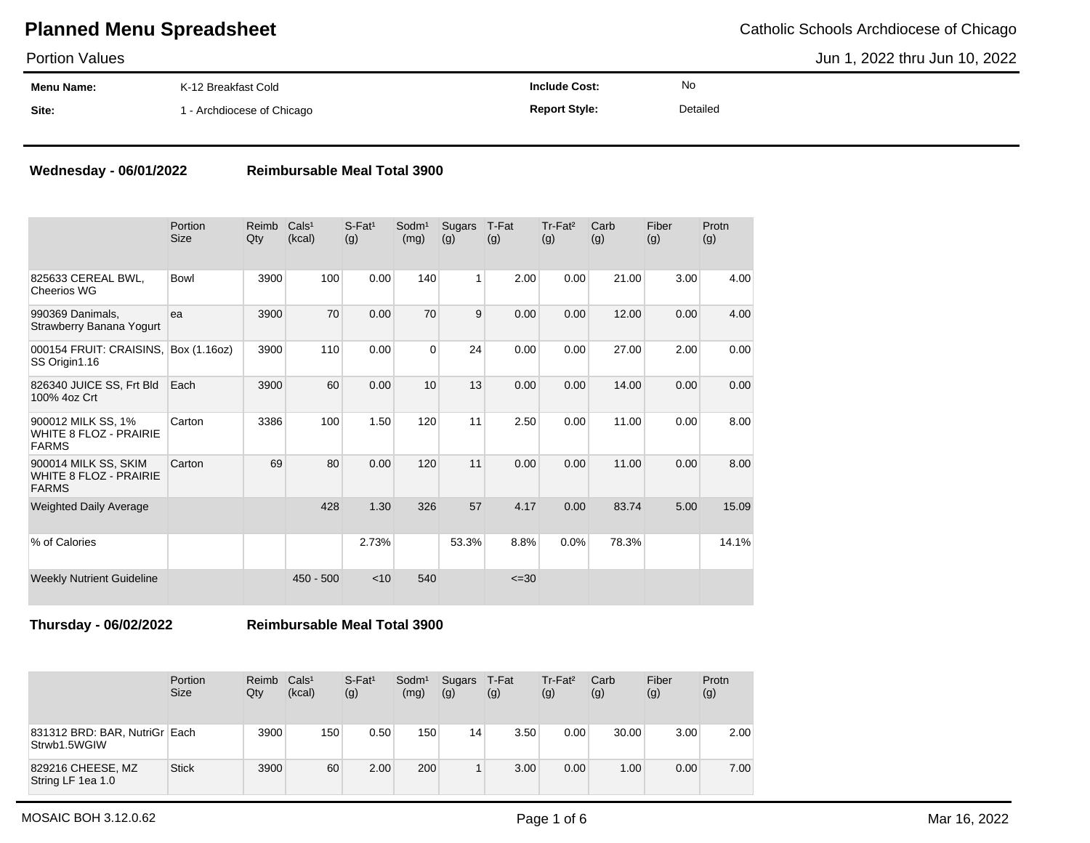Portion Values

Jun 1, 2022 thru Jun 10, 2022

| <b>Menu Name:</b> | K-12 Breakfast Cold      | <b>Include Cost:</b> | No       |
|-------------------|--------------------------|----------------------|----------|
| Site:             | - Archdiocese of Chicago | <b>Report Style:</b> | Detailed |

### **Wednesday - 06/01/2022 Reimbursable Meal Total 3900**

|                                                                       | Portion<br><b>Size</b> | Reimb<br>Qty | Cals <sup>1</sup><br>(kcal) | $S-Fat1$<br>(g) | Sodm <sup>1</sup><br>(mg) | Sugars<br>(g) | T-Fat<br>(g) | Tr-Fat <sup>2</sup><br>(g) | Carb<br>(g) | Fiber<br>(g) | Protn<br>(g) |
|-----------------------------------------------------------------------|------------------------|--------------|-----------------------------|-----------------|---------------------------|---------------|--------------|----------------------------|-------------|--------------|--------------|
| 825633 CEREAL BWL,<br><b>Cheerios WG</b>                              | Bowl                   | 3900         | 100                         | 0.00            | 140                       | 1             | 2.00         | 0.00                       | 21.00       | 3.00         | 4.00         |
| 990369 Danimals,<br>Strawberry Banana Yogurt                          | ea                     | 3900         | 70                          | 0.00            | 70                        | 9             | 0.00         | 0.00                       | 12.00       | 0.00         | 4.00         |
| 000154 FRUIT: CRAISINS,<br>SS Origin1.16                              | Box (1.16oz)           | 3900         | 110                         | 0.00            | $\Omega$                  | 24            | 0.00         | 0.00                       | 27.00       | 2.00         | 0.00         |
| 826340 JUICE SS, Frt Bld<br>100% 4oz Crt                              | Each                   | 3900         | 60                          | 0.00            | 10                        | 13            | 0.00         | 0.00                       | 14.00       | 0.00         | 0.00         |
| 900012 MILK SS, 1%<br><b>WHITE 8 FLOZ - PRAIRIE</b><br><b>FARMS</b>   | Carton                 | 3386         | 100                         | 1.50            | 120                       | 11            | 2.50         | 0.00                       | 11.00       | 0.00         | 8.00         |
| 900014 MILK SS, SKIM<br><b>WHITE 8 FLOZ - PRAIRIE</b><br><b>FARMS</b> | Carton                 | 69           | 80                          | 0.00            | 120                       | 11            | 0.00         | 0.00                       | 11.00       | 0.00         | 8.00         |
| <b>Weighted Daily Average</b>                                         |                        |              | 428                         | 1.30            | 326                       | 57            | 4.17         | 0.00                       | 83.74       | 5.00         | 15.09        |
| % of Calories                                                         |                        |              |                             | 2.73%           |                           | 53.3%         | 8.8%         | 0.0%                       | 78.3%       |              | 14.1%        |
| <b>Weekly Nutrient Guideline</b>                                      |                        |              | $450 - 500$                 | < 10            | 540                       |               | $\leq 30$    |                            |             |              |              |

**Thursday - 06/02/2022 Reimbursable Meal Total 3900**

|                                               | Portion<br><b>Size</b> | Reimb<br>Qty | Cals <sup>1</sup><br>(kcal) | $S$ -Fat <sup>1</sup><br>(g) | Sodm <sup>1</sup><br>(mg) | Sugars<br>(g) | T-Fat<br>(g) | Tr-Fat <sup>2</sup><br>(g) | Carb<br>(g) | Fiber<br>(g) | Protn<br>(g) |
|-----------------------------------------------|------------------------|--------------|-----------------------------|------------------------------|---------------------------|---------------|--------------|----------------------------|-------------|--------------|--------------|
| 831312 BRD: BAR, NutriGr Each<br>Strwb1.5WGIW |                        | 3900         | 150                         | 0.50                         | 150                       | 14            | 3.50         | 0.00                       | 30.00       | 3.00         | 2.00         |
| 829216 CHEESE, MZ<br>String LF 1ea 1.0        | <b>Stick</b>           | 3900         | 60                          | 2.00                         | 200                       |               | 3.00         | 0.00                       | 1.00        | 0.00         | 7.00         |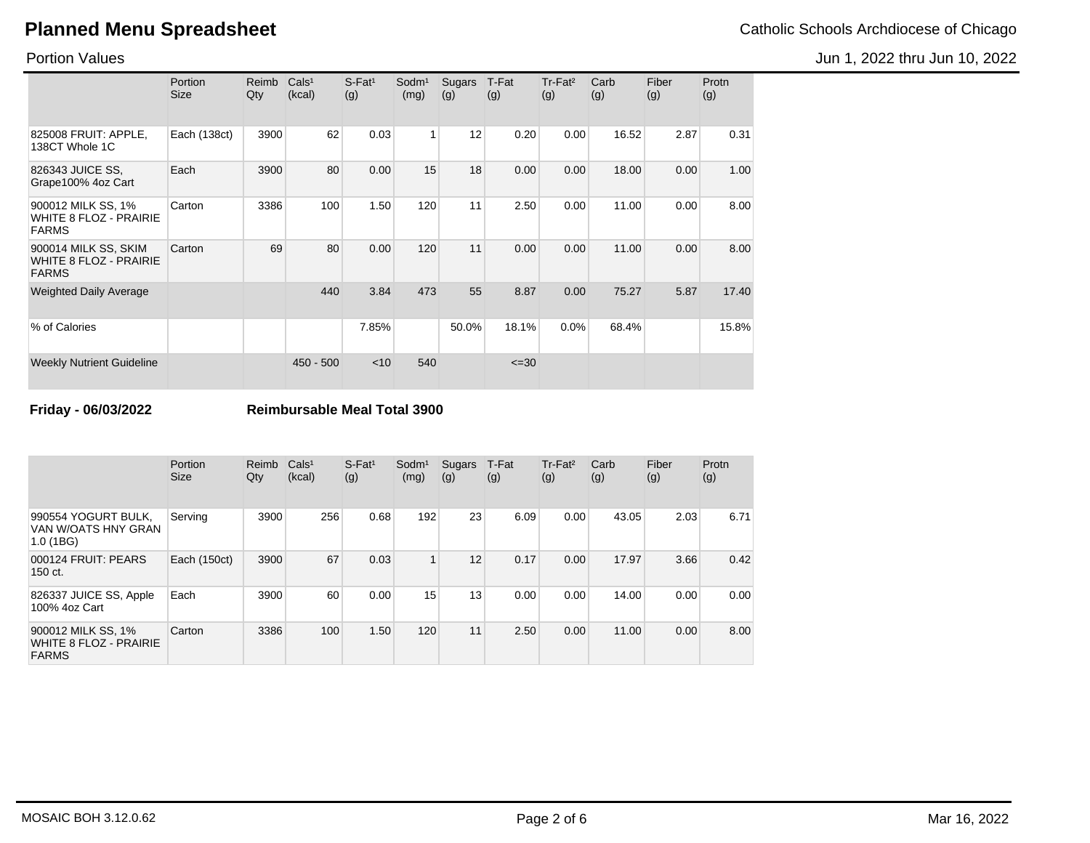Jun 1, 2022 thru Jun 10, 2022

Portion Values

|                                                                       | Portion<br>Size | Reimb<br>Qty | Cals <sup>1</sup><br>(kcal) | $S$ -Fat <sup>1</sup><br>(g) | Sodm <sup>1</sup><br>(mg) | Sugars<br>(g) | T-Fat<br>(g) | Tr-Fat <sup>2</sup><br>(g) | Carb<br>(g) | Fiber<br>(g) | Protn<br>(g) |
|-----------------------------------------------------------------------|-----------------|--------------|-----------------------------|------------------------------|---------------------------|---------------|--------------|----------------------------|-------------|--------------|--------------|
| 825008 FRUIT: APPLE,<br>138CT Whole 1C                                | Each (138ct)    | 3900         | 62                          | 0.03                         | $\mathbf{1}$              | 12            | 0.20         | 0.00                       | 16.52       | 2.87         | 0.31         |
| 826343 JUICE SS.<br>Grape100% 4oz Cart                                | Each            | 3900         | 80                          | 0.00                         | 15                        | 18            | 0.00         | 0.00                       | 18.00       | 0.00         | 1.00         |
| 900012 MILK SS, 1%<br><b>WHITE 8 FLOZ - PRAIRIE</b><br><b>FARMS</b>   | Carton          | 3386         | 100                         | 1.50                         | 120                       | 11            | 2.50         | 0.00                       | 11.00       | 0.00         | 8.00         |
| 900014 MILK SS, SKIM<br><b>WHITE 8 FLOZ - PRAIRIE</b><br><b>FARMS</b> | Carton          | 69           | 80                          | 0.00                         | 120                       | 11            | 0.00         | 0.00                       | 11.00       | 0.00         | 8.00         |
| <b>Weighted Daily Average</b>                                         |                 |              | 440                         | 3.84                         | 473                       | 55            | 8.87         | 0.00                       | 75.27       | 5.87         | 17.40        |
| % of Calories                                                         |                 |              |                             | 7.85%                        |                           | 50.0%         | 18.1%        | 0.0%                       | 68.4%       |              | 15.8%        |
| <b>Weekly Nutrient Guideline</b>                                      |                 |              | $450 - 500$                 | < 10                         | 540                       |               | $\leq 30$    |                            |             |              |              |

**Friday - 06/03/2022 Reimbursable Meal Total 3900**

|                                                                     | Portion<br><b>Size</b> | Reimb<br>Qty | Cals <sup>1</sup><br>(kcal) | $S$ -Fat <sup>1</sup><br>(g) | Sodm <sup>1</sup><br>(mg) | Sugars<br>(g) | T-Fat<br>(g) | Tr-Fat <sup>2</sup><br>(g) | Carb<br>(g) | Fiber<br>(g) | Protn<br>(g) |
|---------------------------------------------------------------------|------------------------|--------------|-----------------------------|------------------------------|---------------------------|---------------|--------------|----------------------------|-------------|--------------|--------------|
| 990554 YOGURT BULK,<br>VAN W/OATS HNY GRAN<br>1.0(1BG)              | Serving                | 3900         | 256                         | 0.68                         | 192                       | 23            | 6.09         | 0.00                       | 43.05       | 2.03         | 6.71         |
| 000124 FRUIT: PEARS<br>150 ct.                                      | Each (150ct)           | 3900         | 67                          | 0.03                         | 1                         | 12            | 0.17         | 0.00                       | 17.97       | 3.66         | 0.42         |
| 826337 JUICE SS, Apple<br>100% 4oz Cart                             | Each                   | 3900         | 60                          | 0.00                         | 15                        | 13            | 0.00         | 0.00                       | 14.00       | 0.00         | 0.00         |
| 900012 MILK SS, 1%<br><b>WHITE 8 FLOZ - PRAIRIE</b><br><b>FARMS</b> | Carton                 | 3386         | 100                         | 1.50                         | 120                       | 11            | 2.50         | 0.00                       | 11.00       | 0.00         | 8.00         |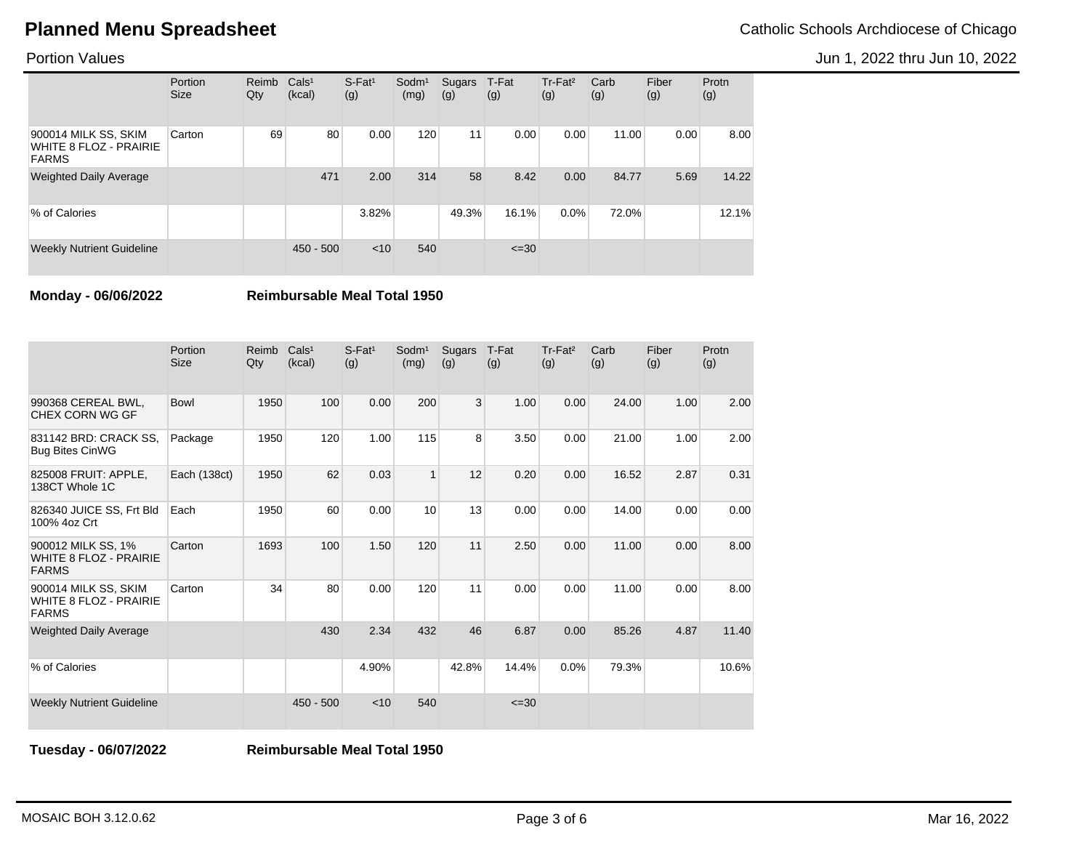Jun 1, 2022 thru Jun 10, 2022

Portion Values

|                                                                       | Portion<br><b>Size</b> | Reimb<br>Qty | Cals <sup>1</sup><br>(kcal) | $S-Fat1$<br>(g) | Sodm <sup>1</sup><br>(mg) | Sugars<br>(g) | T-Fat<br>(g) | Tr-Fat <sup>2</sup><br>(g) | Carb<br>(g) | Fiber<br>(g) | Protn<br>(g) |
|-----------------------------------------------------------------------|------------------------|--------------|-----------------------------|-----------------|---------------------------|---------------|--------------|----------------------------|-------------|--------------|--------------|
| 900014 MILK SS, SKIM<br><b>WHITE 8 FLOZ - PRAIRIE</b><br><b>FARMS</b> | Carton                 | 69           | 80                          | 0.00            | 120                       | 11            | 0.00         | 0.00                       | 11.00       | 0.00         | 8.00         |
| <b>Weighted Daily Average</b>                                         |                        |              | 471                         | 2.00            | 314                       | 58            | 8.42         | 0.00                       | 84.77       | 5.69         | 14.22        |
| % of Calories                                                         |                        |              |                             | 3.82%           |                           | 49.3%         | 16.1%        | 0.0%                       | 72.0%       |              | 12.1%        |
| <b>Weekly Nutrient Guideline</b>                                      |                        |              | $450 - 500$                 | $<$ 10          | 540                       |               | $\leq 30$    |                            |             |              |              |

**Monday - 06/06/2022 Reimbursable Meal Total 1950**

|                                                                       | Portion<br><b>Size</b> | Reimb<br>Qty | Cals <sup>1</sup><br>(kcal) | $S$ -Fat <sup>1</sup><br>(g) | Sodm <sup>1</sup><br>(mg) | Sugars<br>(g) | T-Fat<br>(g) | Tr-Fat <sup>2</sup><br>(g) | Carb<br>(g) | Fiber<br>(g) | Protn<br>(g) |
|-----------------------------------------------------------------------|------------------------|--------------|-----------------------------|------------------------------|---------------------------|---------------|--------------|----------------------------|-------------|--------------|--------------|
| 990368 CEREAL BWL.<br>CHEX CORN WG GF                                 | <b>Bowl</b>            | 1950         | 100                         | 0.00                         | 200                       | 3             | 1.00         | 0.00                       | 24.00       | 1.00         | 2.00         |
| 831142 BRD: CRACK SS,<br><b>Bug Bites CinWG</b>                       | Package                | 1950         | 120                         | 1.00                         | 115                       | 8             | 3.50         | 0.00                       | 21.00       | 1.00         | 2.00         |
| 825008 FRUIT: APPLE,<br>138CT Whole 1C                                | Each (138ct)           | 1950         | 62                          | 0.03                         | $\overline{1}$            | 12            | 0.20         | 0.00                       | 16.52       | 2.87         | 0.31         |
| 826340 JUICE SS, Frt Bld<br>100% 4oz Crt                              | Each                   | 1950         | 60                          | 0.00                         | 10                        | 13            | 0.00         | 0.00                       | 14.00       | 0.00         | 0.00         |
| 900012 MILK SS, 1%<br><b>WHITE 8 FLOZ - PRAIRIE</b><br><b>FARMS</b>   | Carton                 | 1693         | 100                         | 1.50                         | 120                       | 11            | 2.50         | 0.00                       | 11.00       | 0.00         | 8.00         |
| 900014 MILK SS, SKIM<br><b>WHITE 8 FLOZ - PRAIRIE</b><br><b>FARMS</b> | Carton                 | 34           | 80                          | 0.00                         | 120                       | 11            | 0.00         | 0.00                       | 11.00       | 0.00         | 8.00         |
| <b>Weighted Daily Average</b>                                         |                        |              | 430                         | 2.34                         | 432                       | 46            | 6.87         | 0.00                       | 85.26       | 4.87         | 11.40        |
| % of Calories                                                         |                        |              |                             | 4.90%                        |                           | 42.8%         | 14.4%        | 0.0%                       | 79.3%       |              | 10.6%        |
| <b>Weekly Nutrient Guideline</b>                                      |                        |              | $450 - 500$                 | $<$ 10                       | 540                       |               | $\leq 30$    |                            |             |              |              |

**Tuesday - 06/07/2022 Reimbursable Meal Total 1950**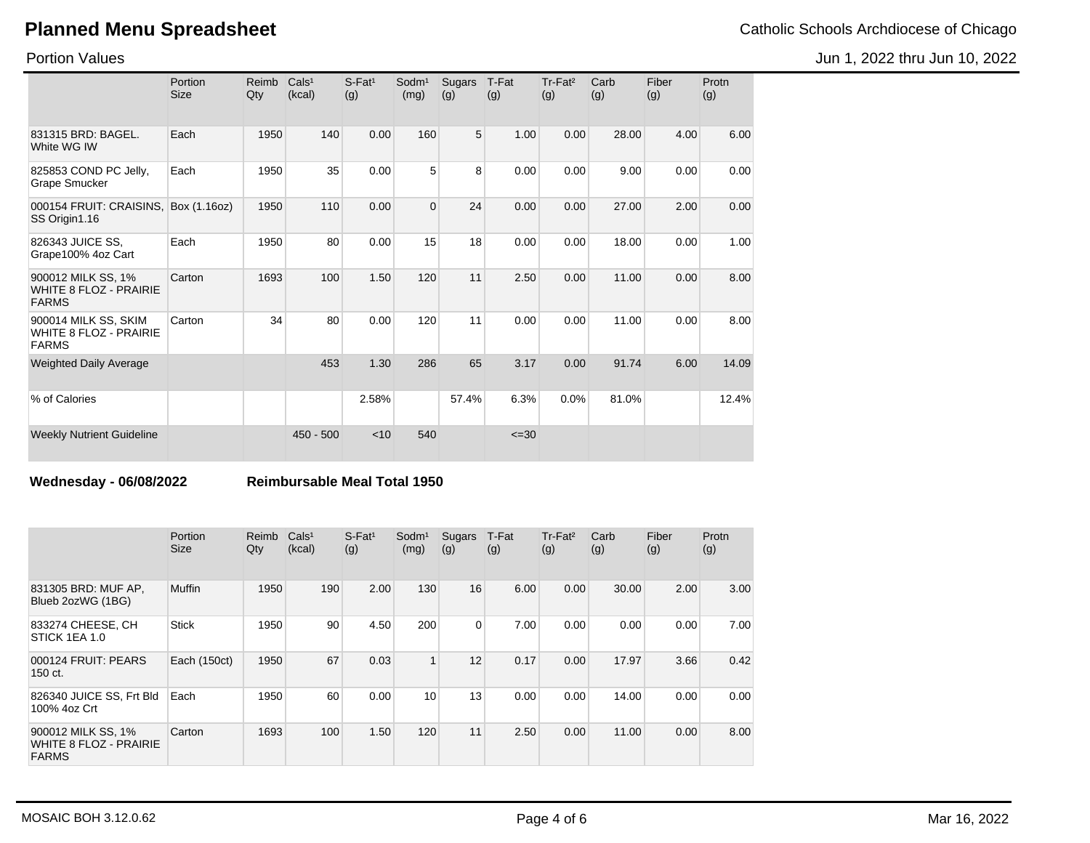Portion Values

|                                                                       | Portion<br><b>Size</b> | Reimb<br>Qty | Cals <sup>1</sup><br>(kcal) | S-Fat <sup>1</sup><br>(g) | Sodm <sup>1</sup><br>(mg) | Sugars<br>(g)  | T-Fat<br>(g) | Tr-Fat <sup>2</sup><br>(g) | Carb<br>(g) | Fiber<br>(g) | Protn<br>(g) |
|-----------------------------------------------------------------------|------------------------|--------------|-----------------------------|---------------------------|---------------------------|----------------|--------------|----------------------------|-------------|--------------|--------------|
| 831315 BRD: BAGEL.<br>White WG IW                                     | Each                   | 1950         | 140                         | 0.00                      | 160                       | 5 <sup>5</sup> | 1.00         | 0.00                       | 28.00       | 4.00         | 6.00         |
| 825853 COND PC Jelly,<br>Grape Smucker                                | Each                   | 1950         | 35                          | 0.00                      | 5                         | 8              | 0.00         | 0.00                       | 9.00        | 0.00         | 0.00         |
| 000154 FRUIT: CRAISINS.<br>SS Origin1.16                              | Box (1.16oz)           | 1950         | 110                         | 0.00                      | $\Omega$                  | 24             | 0.00         | 0.00                       | 27.00       | 2.00         | 0.00         |
| 826343 JUICE SS,<br>Grape100% 4oz Cart                                | Each                   | 1950         | 80                          | 0.00                      | 15                        | 18             | 0.00         | 0.00                       | 18.00       | 0.00         | 1.00         |
| 900012 MILK SS, 1%<br><b>WHITE 8 FLOZ - PRAIRIE</b><br><b>FARMS</b>   | Carton                 | 1693         | 100                         | 1.50                      | 120                       | 11             | 2.50         | 0.00                       | 11.00       | 0.00         | 8.00         |
| 900014 MILK SS, SKIM<br><b>WHITE 8 FLOZ - PRAIRIE</b><br><b>FARMS</b> | Carton                 | 34           | 80                          | 0.00                      | 120                       | 11             | 0.00         | 0.00                       | 11.00       | 0.00         | 8.00         |
| <b>Weighted Daily Average</b>                                         |                        |              | 453                         | 1.30                      | 286                       | 65             | 3.17         | 0.00                       | 91.74       | 6.00         | 14.09        |
| % of Calories                                                         |                        |              |                             | 2.58%                     |                           | 57.4%          | 6.3%         | 0.0%                       | 81.0%       |              | 12.4%        |
| <b>Weekly Nutrient Guideline</b>                                      |                        |              | $450 - 500$                 | < 10                      | 540                       |                | $\leq 30$    |                            |             |              |              |

**Wednesday - 06/08/2022 Reimbursable Meal Total 1950**

|                                                                     | Portion<br><b>Size</b> | Reimb<br>Qty | Cals <sup>1</sup><br>(kcal) | $S$ -Fat <sup>1</sup><br>(g) | Sodm <sup>1</sup><br>(mg) | Sugars<br>(g)  | T-Fat<br>(g) | Tr-Fat <sup>2</sup><br>(g) | Carb<br>(g) | Fiber<br>(g) | Protn<br>(g) |
|---------------------------------------------------------------------|------------------------|--------------|-----------------------------|------------------------------|---------------------------|----------------|--------------|----------------------------|-------------|--------------|--------------|
| 831305 BRD: MUF AP,<br>Blueb 2ozWG (1BG)                            | Muffin                 | 1950         | 190                         | 2.00                         | 130                       | 16             | 6.00         | 0.00                       | 30.00       | 2.00         | 3.00         |
| 833274 CHEESE, CH<br>STICK 1EA 1.0                                  | <b>Stick</b>           | 1950         | 90                          | 4.50                         | 200                       | $\overline{0}$ | 7.00         | 0.00                       | 0.00        | 0.00         | 7.00         |
| 000124 FRUIT: PEARS<br>150 ct.                                      | Each (150ct)           | 1950         | 67                          | 0.03                         |                           | 12             | 0.17         | 0.00                       | 17.97       | 3.66         | 0.42         |
| 826340 JUICE SS, Frt Bld<br>100% 4oz Crt                            | Each                   | 1950         | 60                          | 0.00                         | 10                        | 13             | 0.00         | 0.00                       | 14.00       | 0.00         | 0.00         |
| 900012 MILK SS, 1%<br><b>WHITE 8 FLOZ - PRAIRIE</b><br><b>FARMS</b> | Carton                 | 1693         | 100                         | 1.50                         | 120                       | 11             | 2.50         | 0.00                       | 11.00       | 0.00         | 8.00         |

Jun 1, 2022 thru Jun 10, 2022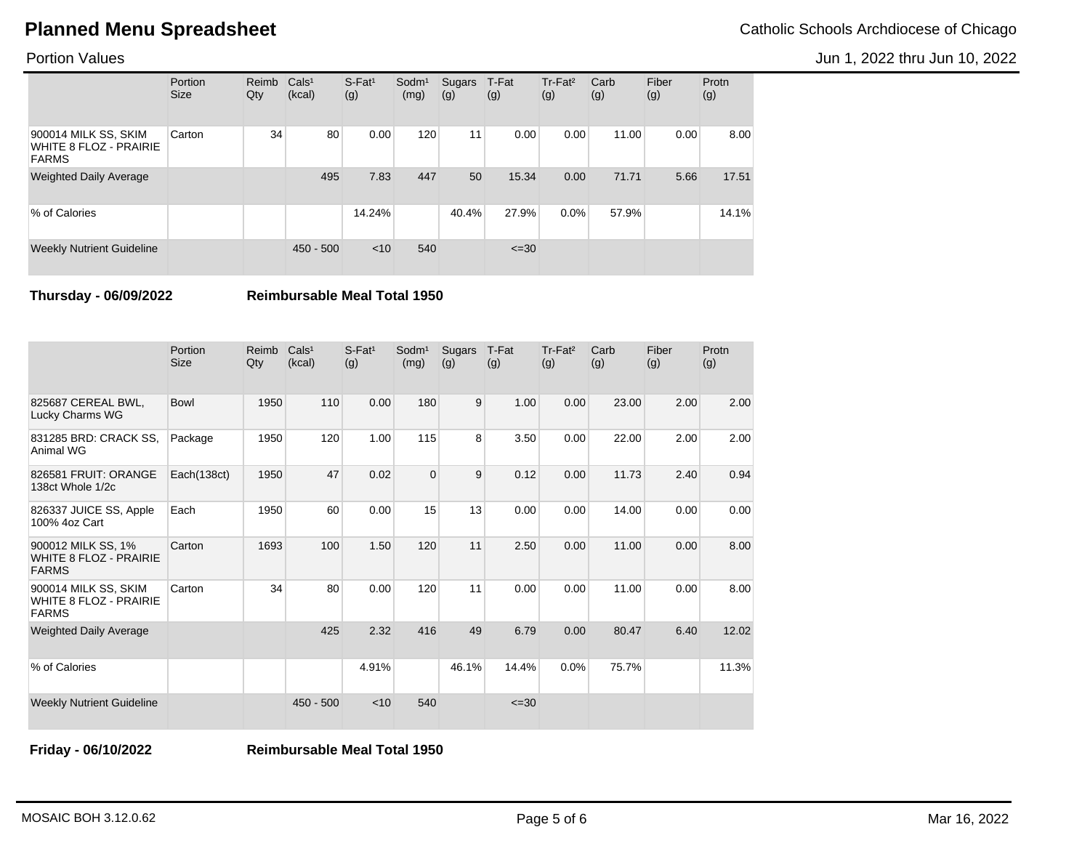Jun 1, 2022 thru Jun 10, 2022

Portion Values

|                                                                       | Portion<br><b>Size</b> | Reimb<br>Qty | Cals <sup>1</sup><br>(kcal) | $S-Fat1$<br>(g) | Sodm <sup>1</sup><br>(mg) | Sugars<br>(g) | T-Fat<br>(g) | Tr-Fat <sup>2</sup><br>(g) | Carb<br>(g) | Fiber<br>(g) | Protn<br>(g) |
|-----------------------------------------------------------------------|------------------------|--------------|-----------------------------|-----------------|---------------------------|---------------|--------------|----------------------------|-------------|--------------|--------------|
| 900014 MILK SS, SKIM<br><b>WHITE 8 FLOZ - PRAIRIE</b><br><b>FARMS</b> | Carton                 | 34           | 80                          | 0.00            | 120                       | 11            | 0.00         | 0.00                       | 11.00       | 0.00         | 8.00         |
| <b>Weighted Daily Average</b>                                         |                        |              | 495                         | 7.83            | 447                       | 50            | 15.34        | 0.00                       | 71.71       | 5.66         | 17.51        |
| % of Calories                                                         |                        |              |                             | 14.24%          |                           | 40.4%         | 27.9%        | $0.0\%$                    | 57.9%       |              | 14.1%        |
| <b>Weekly Nutrient Guideline</b>                                      |                        |              | $450 - 500$                 | $<$ 10          | 540                       |               | $\leq 30$    |                            |             |              |              |

**Thursday - 06/09/2022 Reimbursable Meal Total 1950**

|                                                                       | Portion<br><b>Size</b> | Reimb<br>Qty | Cals <sup>1</sup><br>(kcal) | $S$ -Fat <sup>1</sup><br>(g) | Sodm <sup>1</sup><br>(mg) | Sugars<br>(g) | T-Fat<br>(g) | Tr-Fat <sup>2</sup><br>(g) | Carb<br>(g) | Fiber<br>(g) | Protn<br>(g) |
|-----------------------------------------------------------------------|------------------------|--------------|-----------------------------|------------------------------|---------------------------|---------------|--------------|----------------------------|-------------|--------------|--------------|
| 825687 CEREAL BWL,<br>Lucky Charms WG                                 | Bowl                   | 1950         | 110                         | 0.00                         | 180                       | 9             | 1.00         | 0.00                       | 23.00       | 2.00         | 2.00         |
| 831285 BRD: CRACK SS,<br>Animal WG                                    | Package                | 1950         | 120                         | 1.00                         | 115                       | 8             | 3.50         | 0.00                       | 22.00       | 2.00         | 2.00         |
| 826581 FRUIT: ORANGE<br>138ct Whole 1/2c                              | Each(138ct)            | 1950         | 47                          | 0.02                         | $\overline{0}$            | 9             | 0.12         | 0.00                       | 11.73       | 2.40         | 0.94         |
| 826337 JUICE SS, Apple<br>100% 4oz Cart                               | Each                   | 1950         | 60                          | 0.00                         | 15                        | 13            | 0.00         | 0.00                       | 14.00       | 0.00         | 0.00         |
| 900012 MILK SS, 1%<br><b>WHITE 8 FLOZ - PRAIRIE</b><br><b>FARMS</b>   | Carton                 | 1693         | 100                         | 1.50                         | 120                       | 11            | 2.50         | 0.00                       | 11.00       | 0.00         | 8.00         |
| 900014 MILK SS, SKIM<br><b>WHITE 8 FLOZ - PRAIRIE</b><br><b>FARMS</b> | Carton                 | 34           | 80                          | 0.00                         | 120                       | 11            | 0.00         | 0.00                       | 11.00       | 0.00         | 8.00         |
| <b>Weighted Daily Average</b>                                         |                        |              | 425                         | 2.32                         | 416                       | 49            | 6.79         | 0.00                       | 80.47       | 6.40         | 12.02        |
| % of Calories                                                         |                        |              |                             | 4.91%                        |                           | 46.1%         | 14.4%        | 0.0%                       | 75.7%       |              | 11.3%        |
| <b>Weekly Nutrient Guideline</b>                                      |                        |              | $450 - 500$                 | < 10                         | 540                       |               | $\leq 30$    |                            |             |              |              |

**Friday - 06/10/2022 Reimbursable Meal Total 1950**